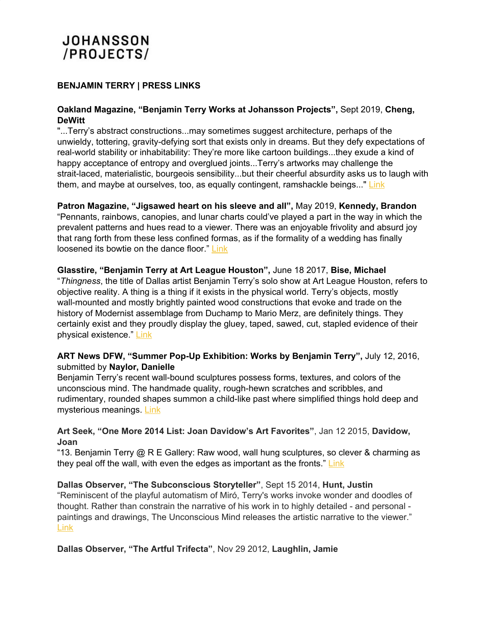# **JOHANSSON** /PROJECTS/

## **BENJAMIN TERRY | PRESS LINKS**

#### **Oakland Magazine, "Benjamin Terry Works at Johansson Projects",** Sept 2019, **Cheng, DeWitt**

"...Terry's abstract constructions...may sometimes suggest architecture, perhaps of the unwieldy, tottering, gravity-defying sort that exists only in dreams. But they defy expectations of real-world stability or inhabitability: They're more like cartoon buildings...they exude a kind of happy acceptance of entropy and overglued joints...Terry's artworks may challenge the strait-laced, materialistic, bourgeois sensibility...but their cheerful absurdity asks us to laugh with them, and maybe at ourselves, too, as equally contingent, ramshackle beings..." [Link](http://www.oaklandmagazine.com/September-2019/To-Make-or-Not-to-Make/)

**Patron Magazine, "Jigsawed heart on his sleeve and all",** May 2019, **Kennedy, Brandon** "Pennants, rainbows, canopies, and lunar charts could've played a part in the way in which the prevalent patterns and hues read to a viewer. There was an enjoyable frivolity and absurd joy that rang forth from these less confined formas, as if the formality of a wedding has finally loosened its bowtie on the dance floor." [Link](https://issuu.com/patronmagazine/docs/patron-may-june-july-issue-small/40)

**Glasstire, "Benjamin Terry at Art League Houston",** June 18 2017, **Bise, Michael** "*Thingness*, the title of Dallas artist Benjamin Terry's solo show at Art League Houston, refers to objective reality. A thing is a thing if it exists in the physical world. Terry's objects, mostly wall-mounted and mostly brightly painted wood constructions that evoke and trade on the history of Modernist assemblage from Duchamp to Mario Merz, are definitely things. They certainly exist and they proudly display the gluey, taped, sawed, cut, stapled evidence of their physical existence." [Link](https://glasstire.com/2017/06/18/benjamin-terry-at-art-league-houston/)

### **ART News DFW, "Summer Pop-Up Exhibition: Works by Benjamin Terry",** July 12, 2016, submitted by **Naylor, Danielle**

Benjamin Terry's recent wall-bound sculptures possess forms, textures, and colors of the unconscious mind. The handmade quality, rough-hewn scratches and scribbles, and rudimentary, rounded shapes summon a child-like past where simplified things hold deep and mysterious meanings. [Link](http://artgroupsdfw.com/exhibits-events/summer-pop-up-exhibition-works-by-benjamin-terry-2/)

### **Art Seek, "One More 2014 List: Joan Davidow's Art Favorites"**, Jan 12 2015, **Davidow, Joan**

"13. Benjamin Terry @ R E Gallery: Raw wood, wall hung sculptures, so clever & charming as they peal off the wall, with even the edges as important as the fronts." [Link](http://artandseek.net/2015/01/12/one-more-2014-list-joan-davidows-art-favorites/)

**Dallas Observer, "The Subconscious Storyteller"**, Sept 15 2014, **Hunt, Justin** "Reminiscent of the playful automatism of Miró, Terry's works invoke wonder and doodles of thought. Rather than constrain the narrative of his work in to highly detailed - and personal paintings and drawings, The Unconscious Mind releases the artistic narrative to the viewer." [Link](https://www.dallasobserver.com/arts/the-subconscious-storyteller-benjamin-terry-at-re-gallery-7086419)

**Dallas Observer, "The Artful Trifecta"**, Nov 29 2012, **Laughlin, Jamie**